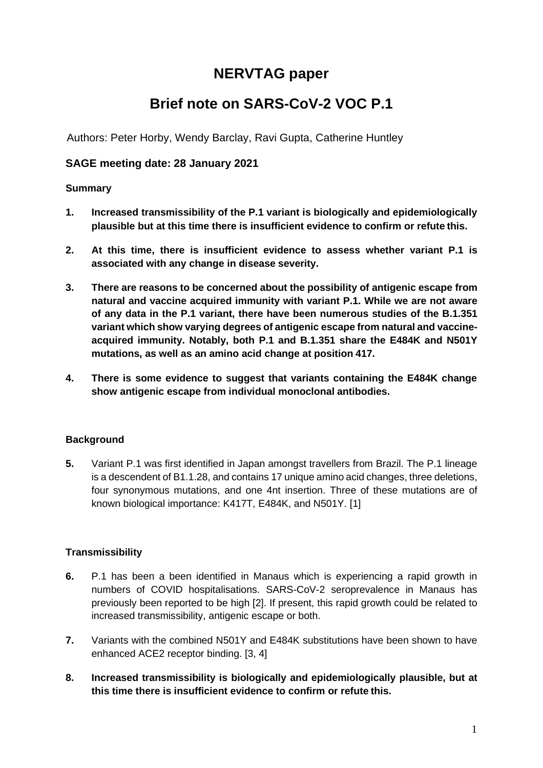# **NERVTAG paper**

# **Brief note on SARS-CoV-2 VOC P.1**

Authors: Peter Horby, Wendy Barclay, Ravi Gupta, Catherine Huntley

## **SAGE meeting date: 28 January 2021**

## **Summary**

- **1. Increased transmissibility of the P.1 variant is biologically and epidemiologically plausible but at this time there is insufficient evidence to confirm or refute this.**
- **2. At this time, there is insufficient evidence to assess whether variant P.1 is associated with any change in disease severity.**
- **3. There are reasons to be concerned about the possibility of antigenic escape from natural and vaccine acquired immunity with variant P.1. While we are not aware of any data in the P.1 variant, there have been numerous studies of the B.1.351 variant which show varying degrees of antigenic escape from natural and vaccineacquired immunity. Notably, both P.1 and B.1.351 share the E484K and N501Y mutations, as well as an amino acid change at position 417.**
- **4. There is some evidence to suggest that variants containing the E484K change show antigenic escape from individual monoclonal antibodies.**

## **Background**

**5.** Variant P.1 was first identified in Japan amongst travellers from Brazil. The P.1 lineage is a descendent of B1.1.28, and contains 17 unique amino acid changes, three deletions, four synonymous mutations, and one 4nt insertion. Three of these mutations are of known biological importance: K417T, E484K, and N501Y. [1]

## **Transmissibility**

- **6.** P.1 has been a been identified in Manaus which is experiencing a rapid growth in numbers of COVID hospitalisations. SARS-CoV-2 seroprevalence in Manaus has previously been reported to be high [2]. If present, this rapid growth could be related to increased transmissibility, antigenic escape or both.
- **7.** Variants with the combined N501Y and E484K substitutions have been shown to have enhanced ACE2 receptor binding. [3, 4]
- **8. Increased transmissibility is biologically and epidemiologically plausible, but at this time there is insufficient evidence to confirm or refute this.**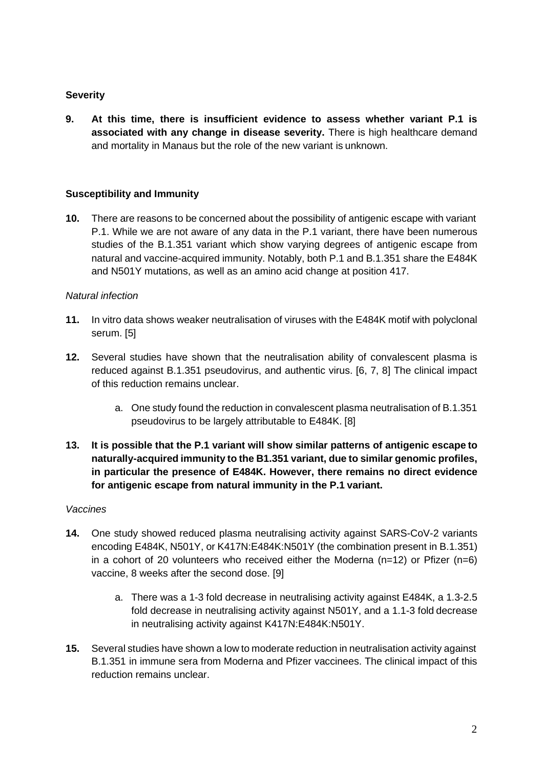### **Severity**

**9. At this time, there is insufficient evidence to assess whether variant P.1 is associated with any change in disease severity.** There is high healthcare demand and mortality in Manaus but the role of the new variant is unknown.

### **Susceptibility and Immunity**

**10.** There are reasons to be concerned about the possibility of antigenic escape with variant P.1. While we are not aware of any data in the P.1 variant, there have been numerous studies of the B.1.351 variant which show varying degrees of antigenic escape from natural and vaccine-acquired immunity. Notably, both P.1 and B.1.351 share the E484K and N501Y mutations, as well as an amino acid change at position 417.

#### *Natural infection*

- **11.** In vitro data shows weaker neutralisation of viruses with the E484K motif with polyclonal serum. [5]
- **12.** Several studies have shown that the neutralisation ability of convalescent plasma is reduced against B.1.351 pseudovirus, and authentic virus. [6, 7, 8] The clinical impact of this reduction remains unclear.
	- a. One study found the reduction in convalescent plasma neutralisation of B.1.351 pseudovirus to be largely attributable to E484K. [8]
- **13. It is possible that the P.1 variant will show similar patterns of antigenic escape to naturally-acquired immunity to the B1.351 variant, due to similar genomic profiles, in particular the presence of E484K. However, there remains no direct evidence for antigenic escape from natural immunity in the P.1 variant.**

#### *Vaccines*

- **14.** One study showed reduced plasma neutralising activity against SARS-CoV-2 variants encoding E484K, N501Y, or K417N:E484K:N501Y (the combination present in B.1.351) in a cohort of 20 volunteers who received either the Moderna ( $n=12$ ) or Pfizer ( $n=6$ ) vaccine, 8 weeks after the second dose. [9]
	- a. There was a 1-3 fold decrease in neutralising activity against E484K, a 1.3-2.5 fold decrease in neutralising activity against N501Y, and a 1.1-3 fold decrease in neutralising activity against K417N:E484K:N501Y.
- **15.** Several studies have shown a low to moderate reduction in neutralisation activity against B.1.351 in immune sera from Moderna and Pfizer vaccinees. The clinical impact of this reduction remains unclear.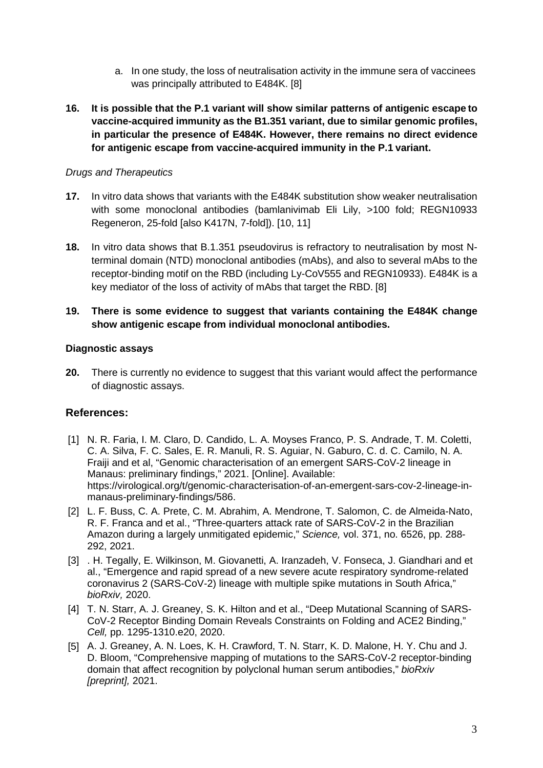- a. In one study, the loss of neutralisation activity in the immune sera of vaccinees was principally attributed to E484K. [8]
- **16. It is possible that the P.1 variant will show similar patterns of antigenic escape to vaccine-acquired immunity as the B1.351 variant, due to similar genomic profiles, in particular the presence of E484K. However, there remains no direct evidence for antigenic escape from vaccine-acquired immunity in the P.1 variant.**

## *Drugs and Therapeutics*

- **17.** In vitro data shows that variants with the E484K substitution show weaker neutralisation with some monoclonal antibodies (bamlanivimab Eli Lily, >100 fold; REGN10933 Regeneron, 25-fold [also K417N, 7-fold]). [10, 11]
- **18.** In vitro data shows that B.1.351 pseudovirus is refractory to neutralisation by most Nterminal domain (NTD) monoclonal antibodies (mAbs), and also to several mAbs to the receptor-binding motif on the RBD (including Ly-CoV555 and REGN10933). E484K is a key mediator of the loss of activity of mAbs that target the RBD. [8]

## **19. There is some evidence to suggest that variants containing the E484K change show antigenic escape from individual monoclonal antibodies.**

### **Diagnostic assays**

**20.** There is currently no evidence to suggest that this variant would affect the performance of diagnostic assays.

## **References:**

- [1] N. R. Faria, I. M. Claro, D. Candido, L. A. Moyses Franco, P. S. Andrade, T. M. Coletti, C. A. Silva, F. C. Sales, E. R. Manuli, R. S. Aguiar, N. Gaburo, C. d. C. Camilo, N. A. Fraiji and et al, "Genomic characterisation of an emergent SARS-CoV-2 lineage in Manaus: preliminary findings," 2021. [Online]. Available: https://virological.org/t/genomic-characterisation-of-an-emergent-sars-cov-2-lineage-inmanaus-preliminary-findings/586.
- [2] L. F. Buss, C. A. Prete, C. M. Abrahim, A. Mendrone, T. Salomon, C. de Almeida-Nato, R. F. Franca and et al., "Three-quarters attack rate of SARS-CoV-2 in the Brazilian Amazon during a largely unmitigated epidemic," *Science,* vol. 371, no. 6526, pp. 288- 292, 2021.
- [3] . H. Tegally, E. Wilkinson, M. Giovanetti, A. Iranzadeh, V. Fonseca, J. Giandhari and et al., "Emergence and rapid spread of a new severe acute respiratory syndrome-related coronavirus 2 (SARS-CoV-2) lineage with multiple spike mutations in South Africa," *bioRxiv,* 2020.
- [4] T. N. Starr, A. J. Greaney, S. K. Hilton and et al., "Deep Mutational Scanning of SARS-CoV-2 Receptor Binding Domain Reveals Constraints on Folding and ACE2 Binding," *Cell,* pp. 1295-1310.e20, 2020.
- [5] A. J. Greaney, A. N. Loes, K. H. Crawford, T. N. Starr, K. D. Malone, H. Y. Chu and J. D. Bloom, "Comprehensive mapping of mutations to the SARS-CoV-2 receptor-binding domain that affect recognition by polyclonal human serum antibodies," *bioRxiv [preprint],* 2021.